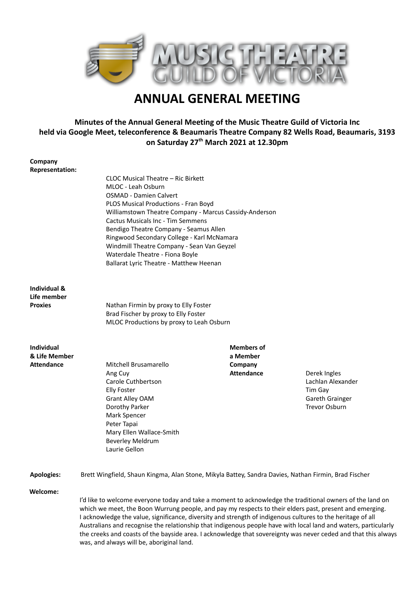

# **ANNUAL GENERAL MEETING**

# **Minutes of the Annual General Meeting of the Music Theatre Guild of Victoria Inc held via Google Meet, teleconference & Beaumaris Theatre Company 82 Wells Road, Beaumaris, 3193 on Saturday 27th March 2021 at 12.30pm**

| Company                |                                                                                                                 |                   |                   |
|------------------------|-----------------------------------------------------------------------------------------------------------------|-------------------|-------------------|
| <b>Representation:</b> |                                                                                                                 |                   |                   |
|                        | CLOC Musical Theatre - Ric Birkett                                                                              |                   |                   |
|                        | MLOC - Leah Osburn                                                                                              |                   |                   |
|                        | <b>OSMAD - Damien Calvert</b>                                                                                   |                   |                   |
|                        | PLOS Musical Productions - Fran Boyd                                                                            |                   |                   |
|                        | Williamstown Theatre Company - Marcus Cassidy-Anderson                                                          |                   |                   |
|                        |                                                                                                                 |                   |                   |
|                        | <b>Cactus Musicals Inc - Tim Semmens</b>                                                                        |                   |                   |
|                        | Bendigo Theatre Company - Seamus Allen                                                                          |                   |                   |
|                        | Ringwood Secondary College - Karl McNamara                                                                      |                   |                   |
|                        | Windmill Theatre Company - Sean Van Geyzel                                                                      |                   |                   |
|                        | Waterdale Theatre - Fiona Boyle                                                                                 |                   |                   |
|                        | Ballarat Lyric Theatre - Matthew Heenan                                                                         |                   |                   |
| Individual &           |                                                                                                                 |                   |                   |
| Life member            |                                                                                                                 |                   |                   |
| <b>Proxies</b>         |                                                                                                                 |                   |                   |
|                        | Nathan Firmin by proxy to Elly Foster                                                                           |                   |                   |
|                        | Brad Fischer by proxy to Elly Foster                                                                            |                   |                   |
|                        | MLOC Productions by proxy to Leah Osburn                                                                        |                   |                   |
| <b>Individual</b>      |                                                                                                                 | <b>Members of</b> |                   |
| & Life Member          |                                                                                                                 | a Member          |                   |
| <b>Attendance</b>      | Mitchell Brusamarello                                                                                           | Company           |                   |
|                        | Ang Cuy                                                                                                         | <b>Attendance</b> | Derek Ingles      |
|                        | Carole Cuthbertson                                                                                              |                   | Lachlan Alexander |
|                        | <b>Elly Foster</b>                                                                                              |                   | Tim Gay           |
|                        |                                                                                                                 |                   |                   |
|                        | <b>Grant Alley OAM</b>                                                                                          |                   | Gareth Grainger   |
|                        | Dorothy Parker                                                                                                  |                   | Trevor Osburn     |
|                        | Mark Spencer                                                                                                    |                   |                   |
|                        | Peter Tapai                                                                                                     |                   |                   |
|                        | Mary Ellen Wallace-Smith                                                                                        |                   |                   |
|                        | <b>Beverley Meldrum</b>                                                                                         |                   |                   |
|                        | Laurie Gellon                                                                                                   |                   |                   |
| <b>Apologies:</b>      | Brett Wingfield, Shaun Kingma, Alan Stone, Mikyla Battey, Sandra Davies, Nathan Firmin, Brad Fischer            |                   |                   |
|                        |                                                                                                                 |                   |                   |
| Welcome:               |                                                                                                                 |                   |                   |
|                        | I'd like to welcome everyone today and take a moment to acknowledge the traditional owners of the land on       |                   |                   |
|                        | which we meet, the Boon Wurrung people, and pay my respects to their elders past, present and emerging.         |                   |                   |
|                        | I acknowledge the value, significance, diversity and strength of indigenous cultures to the heritage of all     |                   |                   |
|                        | Australians and recognise the relationship that indigenous people have with local land and waters, particularly |                   |                   |
|                        | the creeks and coasts of the bayside area. I acknowledge that sovereignty was never ceded and that this always  |                   |                   |
|                        | was, and always will be, aboriginal land.                                                                       |                   |                   |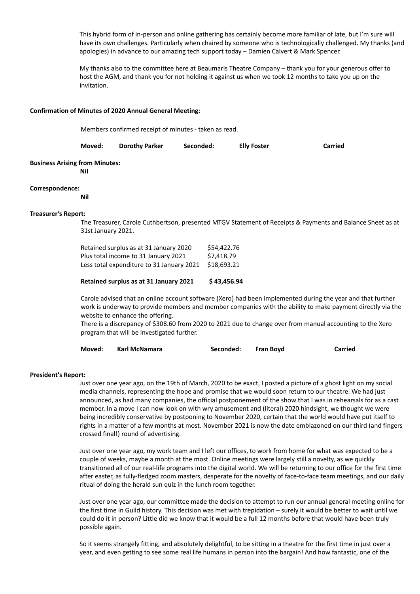This hybrid form of in-person and online gathering has certainly become more familiar of late, but I'm sure will have its own challenges. Particularly when chaired by someone who is technologically challenged. My thanks (and apologies) in advance to our amazing tech support today – Damien Calvert & Mark Spencer.

My thanks also to the committee here at Beaumaris Theatre Company – thank you for your generous offer to host the AGM, and thank you for not holding it against us when we took 12 months to take you up on the invitation.

#### **Confirmation of Minutes of 2020 Annual General Meeting:**

Members confirmed receipt of minutes - taken as read.

| Moved: | <b>Dorothy Parker</b> | Seconded: | <b>Elly Foster</b> | Carried |
|--------|-----------------------|-----------|--------------------|---------|
|--------|-----------------------|-----------|--------------------|---------|

# **Business Arising from Minutes:**

**Nil**

#### **Correspondence:**

**Nil**

#### **Treasurer's Report:**

The Treasurer, Carole Cuthbertson, presented MTGV Statement of Receipts & Payments and Balance Sheet as at 31st January 2021.

| Retained surplus as at 31 January 2020    | \$54,422.76 |
|-------------------------------------------|-------------|
| Plus total income to 31 January 2021      | \$7.418.79  |
| Less total expenditure to 31 January 2021 | \$18,693.21 |

#### **Retained surplus as at 31 January 2021 \$ 43,456.94**

Carole advised that an online account software (Xero) had been implemented during the year and that further work is underway to provide members and member companies with the ability to make payment directly via the website to enhance the offering.

There is a discrepancy of \$308.60 from 2020 to 2021 due to change over from manual accounting to the Xero program that will be investigated further.

| Moved: | Karl McNamara | Seconded: | <b>Fran Bovd</b> | Carried |
|--------|---------------|-----------|------------------|---------|
|--------|---------------|-----------|------------------|---------|

#### **President's Report:**

Just over one year ago, on the 19th of March, 2020 to be exact, I posted a picture of a ghost light on my social media channels, representing the hope and promise that we would soon return to our theatre. We had just announced, as had many companies, the official postponement of the show that I was in rehearsals for as a cast member. In a move I can now look on with wry amusement and (literal) 2020 hindsight, we thought we were being incredibly conservative by postponing to November 2020, certain that the world would have put itself to rights in a matter of a few months at most. November 2021 is now the date emblazoned on our third (and fingers crossed final!) round of advertising.

Just over one year ago, my work team and I left our offices, to work from home for what was expected to be a couple of weeks, maybe a month at the most. Online meetings were largely still a novelty, as we quickly transitioned all of our real-life programs into the digital world. We will be returning to our office for the first time after easter, as fully-fledged zoom masters, desperate for the novelty of face-to-face team meetings, and our daily ritual of doing the herald sun quiz in the lunch room together.

Just over one year ago, our committee made the decision to attempt to run our annual general meeting online for the first time in Guild history. This decision was met with trepidation – surely it would be better to wait until we could do it in person? Little did we know that it would be a full 12 months before that would have been truly possible again.

So it seems strangely fitting, and absolutely delightful, to be sitting in a theatre for the first time in just over a year, and even getting to see some real life humans in person into the bargain! And how fantastic, one of the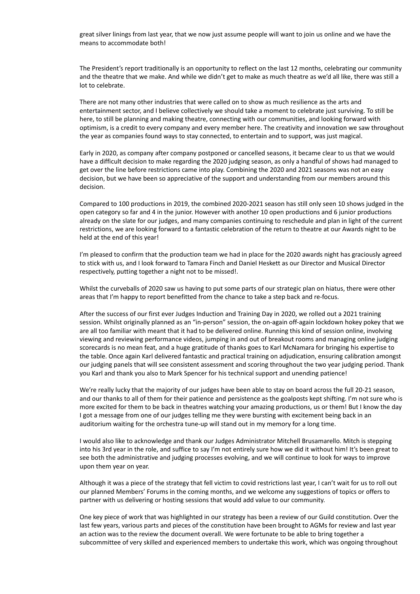great silver linings from last year, that we now just assume people will want to join us online and we have the means to accommodate both!

The President's report traditionally is an opportunity to reflect on the last 12 months, celebrating our community and the theatre that we make. And while we didn't get to make as much theatre as we'd all like, there was still a lot to celebrate.

There are not many other industries that were called on to show as much resilience as the arts and entertainment sector, and I believe collectively we should take a moment to celebrate just surviving. To still be here, to still be planning and making theatre, connecting with our communities, and looking forward with optimism, is a credit to every company and every member here. The creativity and innovation we saw throughout the year as companies found ways to stay connected, to entertain and to support, was just magical.

Early in 2020, as company after company postponed or cancelled seasons, it became clear to us that we would have a difficult decision to make regarding the 2020 judging season, as only a handful of shows had managed to get over the line before restrictions came into play. Combining the 2020 and 2021 seasons was not an easy decision, but we have been so appreciative of the support and understanding from our members around this decision.

Compared to 100 productions in 2019, the combined 2020-2021 season has still only seen 10 shows judged in the open category so far and 4 in the junior. However with another 10 open productions and 6 junior productions already on the slate for our judges, and many companies continuing to reschedule and plan in light of the current restrictions, we are looking forward to a fantastic celebration of the return to theatre at our Awards night to be held at the end of this year!

I'm pleased to confirm that the production team we had in place for the 2020 awards night has graciously agreed to stick with us, and I look forward to Tamara Finch and Daniel Heskett as our Director and Musical Director respectively, putting together a night not to be missed!.

Whilst the curveballs of 2020 saw us having to put some parts of our strategic plan on hiatus, there were other areas that I'm happy to report benefitted from the chance to take a step back and re-focus.

After the success of our first ever Judges Induction and Training Day in 2020, we rolled out a 2021 training session. Whilst originally planned as an "in-person" session, the on-again off-again lockdown hokey pokey that we are all too familiar with meant that it had to be delivered online. Running this kind of session online, involving viewing and reviewing performance videos, jumping in and out of breakout rooms and managing online judging scorecards is no mean feat, and a huge gratitude of thanks goes to Karl McNamara for bringing his expertise to the table. Once again Karl delivered fantastic and practical training on adjudication, ensuring calibration amongst our judging panels that will see consistent assessment and scoring throughout the two year judging period. Thank you Karl and thank you also to Mark Spencer for his technical support and unending patience!

We're really lucky that the majority of our judges have been able to stay on board across the full 20-21 season, and our thanks to all of them for their patience and persistence as the goalposts kept shifting. I'm not sure who is more excited for them to be back in theatres watching your amazing productions, us or them! But I know the day I got a message from one of our judges telling me they were bursting with excitement being back in an auditorium waiting for the orchestra tune-up will stand out in my memory for a long time.

I would also like to acknowledge and thank our Judges Administrator Mitchell Brusamarello. Mitch is stepping into his 3rd year in the role, and suffice to say I'm not entirely sure how we did it without him! It's been great to see both the administrative and judging processes evolving, and we will continue to look for ways to improve upon them year on year.

Although it was a piece of the strategy that fell victim to covid restrictions last year, I can't wait for us to roll out our planned Members' Forums in the coming months, and we welcome any suggestions of topics or offers to partner with us delivering or hosting sessions that would add value to our community.

One key piece of work that was highlighted in our strategy has been a review of our Guild constitution. Over the last few years, various parts and pieces of the constitution have been brought to AGMs for review and last year an action was to the review the document overall. We were fortunate to be able to bring together a subcommittee of very skilled and experienced members to undertake this work, which was ongoing throughout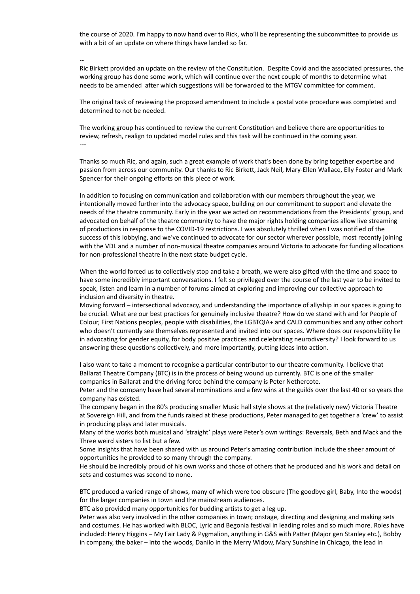the course of 2020. I'm happy to now hand over to Rick, who'll be representing the subcommittee to provide us with a bit of an update on where things have landed so far.

--

Ric Birkett provided an update on the review of the Constitution. Despite Covid and the associated pressures, the working group has done some work, which will continue over the next couple of months to determine what needs to be amended after which suggestions will be forwarded to the MTGV committee for comment.

The original task of reviewing the proposed amendment to include a postal vote procedure was completed and determined to not be needed.

The working group has continued to review the current Constitution and believe there are opportunities to review, refresh, realign to updated model rules and this task will be continued in the coming year.

---

Thanks so much Ric, and again, such a great example of work that's been done by bring together expertise and passion from across our community. Our thanks to Ric Birkett, Jack Neil, Mary-Ellen Wallace, Elly Foster and Mark Spencer for their ongoing efforts on this piece of work.

In addition to focusing on communication and collaboration with our members throughout the year, we intentionally moved further into the advocacy space, building on our commitment to support and elevate the needs of the theatre community. Early in the year we acted on recommendations from the Presidents' group, and advocated on behalf of the theatre community to have the major rights holding companies allow live streaming of productions in response to the COVID-19 restrictions. I was absolutely thrilled when I was notified of the success of this lobbying, and we've continued to advocate for our sector wherever possible, most recently joining with the VDL and a number of non-musical theatre companies around Victoria to advocate for funding allocations for non-professional theatre in the next state budget cycle.

When the world forced us to collectively stop and take a breath, we were also gifted with the time and space to have some incredibly important conversations. I felt so privileged over the course of the last year to be invited to speak, listen and learn in a number of forums aimed at exploring and improving our collective approach to inclusion and diversity in theatre.

Moving forward – intersectional advocacy, and understanding the importance of allyship in our spaces is going to be crucial. What are our best practices for genuinely inclusive theatre? How do we stand with and for People of Colour, First Nations peoples, people with disabilities, the LGBTQIA+ and CALD communities and any other cohort who doesn't currently see themselves represented and invited into our spaces. Where does our responsibility lie in advocating for gender equity, for body positive practices and celebrating neurodiversity? I look forward to us answering these questions collectively, and more importantly, putting ideas into action.

I also want to take a moment to recognise a particular contributor to our theatre community. I believe that Ballarat Theatre Company (BTC) is in the process of being wound up currently. BTC is one of the smaller companies in Ballarat and the driving force behind the company is Peter Nethercote.

Peter and the company have had several nominations and a few wins at the guilds over the last 40 or so years the company has existed.

The company began in the 80's producing smaller Music hall style shows at the (relatively new) Victoria Theatre at Sovereign Hill, and from the funds raised at these productions, Peter managed to get together a 'crew' to assist in producing plays and later musicals.

Many of the works both musical and 'straight' plays were Peter's own writings: Reversals, Beth and Mack and the Three weird sisters to list but a few.

Some insights that have been shared with us around Peter's amazing contribution include the sheer amount of opportunities he provided to so many through the company.

He should be incredibly proud of his own works and those of others that he produced and his work and detail on sets and costumes was second to none.

BTC produced a varied range of shows, many of which were too obscure (The goodbye girl, Baby, Into the woods) for the larger companies in town and the mainstream audiences.

BTC also provided many opportunities for budding artists to get a leg up.

Peter was also very involved in the other companies in town; onstage, directing and designing and making sets and costumes. He has worked with BLOC, Lyric and Begonia festival in leading roles and so much more. Roles have included: Henry Higgins – My Fair Lady & Pygmalion, anything in G&S with Patter (Major gen Stanley etc.), Bobby in company, the baker – into the woods, Danilo in the Merry Widow, Mary Sunshine in Chicago, the lead in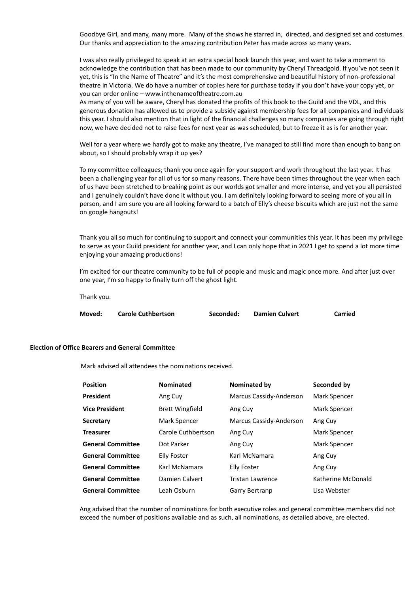Goodbye Girl, and many, many more. Many of the shows he starred in, directed, and designed set and costumes. Our thanks and appreciation to the amazing contribution Peter has made across so many years.

I was also really privileged to speak at an extra special book launch this year, and want to take a moment to acknowledge the contribution that has been made to our community by Cheryl Threadgold. If you've not seen it yet, this is "In the Name of Theatre" and it's the most comprehensive and beautiful history of non-professional theatre in Victoria. We do have a number of copies here for purchase today if you don't have your copy yet, or you can order online – www.inthenameoftheatre.com.au

As many of you will be aware, Cheryl has donated the profits of this book to the Guild and the VDL, and this generous donation has allowed us to provide a subsidy against membership fees for all companies and individuals this year. I should also mention that in light of the financial challenges so many companies are going through right now, we have decided not to raise fees for next year as was scheduled, but to freeze it as is for another year.

Well for a year where we hardly got to make any theatre, I've managed to still find more than enough to bang on about, so I should probably wrap it up yes?

To my committee colleagues; thank you once again for your support and work throughout the last year. It has been a challenging year for all of us for so many reasons. There have been times throughout the year when each of us have been stretched to breaking point as our worlds got smaller and more intense, and yet you all persisted and I genuinely couldn't have done it without you. I am definitely looking forward to seeing more of you all in person, and I am sure you are all looking forward to a batch of Elly's cheese biscuits which are just not the same on google hangouts!

Thank you all so much for continuing to support and connect your communities this year. It has been my privilege to serve as your Guild president for another year, and I can only hope that in 2021 I get to spend a lot more time enjoying your amazing productions!

I'm excited for our theatre community to be full of people and music and magic once more. And after just over one year, I'm so happy to finally turn off the ghost light.

Thank you.

| Moved: | <b>Carole Cuthbertson</b> | Seconded: | <b>Damien Culvert</b> | <b>Carried</b> |
|--------|---------------------------|-----------|-----------------------|----------------|
|        |                           |           |                       |                |

#### **Election of Office Bearers and General Committee**

Mark advised all attendees the nominations received.

| <b>Position</b>          | <b>Nominated</b>       | <b>Nominated by</b>     | Seconded by        |
|--------------------------|------------------------|-------------------------|--------------------|
| President                | Ang Cuy                | Marcus Cassidy-Anderson | Mark Spencer       |
| <b>Vice President</b>    | <b>Brett Wingfield</b> | Ang Cuy                 | Mark Spencer       |
| <b>Secretary</b>         | Mark Spencer           | Marcus Cassidy-Anderson | Ang Cuy            |
| <b>Treasurer</b>         | Carole Cuthbertson     | Ang Cuy                 | Mark Spencer       |
| <b>General Committee</b> | Dot Parker             | Ang Cuy                 | Mark Spencer       |
| <b>General Committee</b> | Elly Foster            | Karl McNamara           | Ang Cuy            |
| <b>General Committee</b> | Karl McNamara          | Elly Foster             | Ang Cuy            |
| <b>General Committee</b> | Damien Calvert         | Tristan Lawrence        | Katherine McDonald |
| <b>General Committee</b> | Leah Osburn            | Garry Bertranp          | Lisa Webster       |

Ang advised that the number of nominations for both executive roles and general committee members did not exceed the number of positions available and as such, all nominations, as detailed above, are elected.